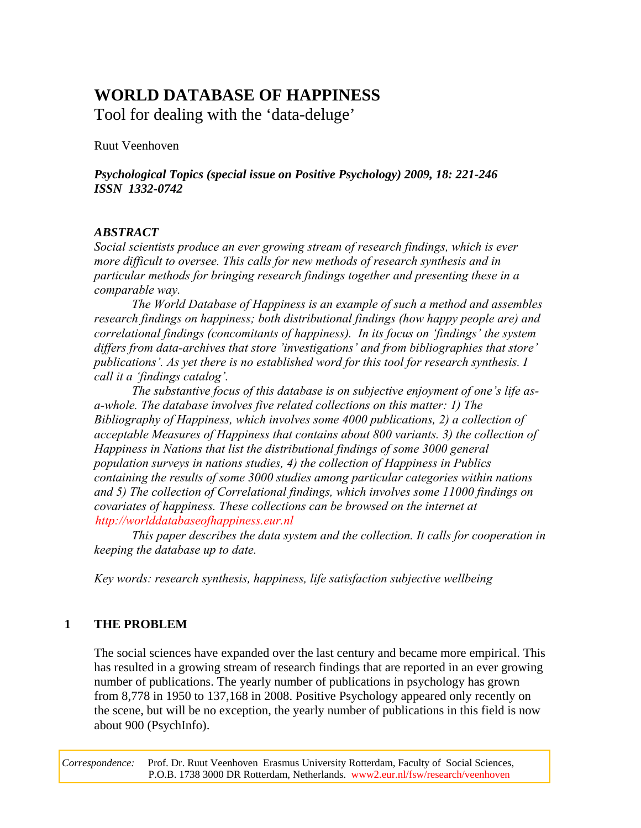# **WORLD DATABASE OF HAPPINESS**

Tool for dealing with the 'data-deluge'

Ruut Veenhoven

*Psychological Topics (special issue on Positive Psychology) 2009, 18: 221-246 ISSN 1332-0742*

# *ABSTRACT*

*Social scientists produce an ever growing stream of research findings, which is ever more difficult to oversee. This calls for new methods of research synthesis and in particular methods for bringing research findings together and presenting these in a comparable way.* 

 *The World Database of Happiness is an example of such a method and assembles research findings on happiness; both distributional findings (how happy people are) and correlational findings (concomitants of happiness). In its focus on 'findings' the system differs from data-archives that store 'investigations' and from bibliographies that store' publications'. As yet there is no established word for this tool for research synthesis. I call it a 'findings catalog'.* 

 *The substantive focus of this database is on subjective enjoyment of one's life asa-whole. The database involves five related collections on this matter: 1) The Bibliography of Happiness, which involves some 4000 publications, 2) a collection of acceptable Measures of Happiness that contains about 800 variants. 3) the collection of Happiness in Nations that list the distributional findings of some 3000 general population surveys in nations studies, 4) the collection of Happiness in Publics containing the results of some 3000 studies among particular categories within nations and 5) The collection of Correlational findings, which involves some 11000 findings on covariates of happiness. These collections can be browsed on the internet at [http://worlddatabaseofhappiness.eur.nl](http://worlddatabaseofhappiness.eur.nl/)*

 *This paper describes the data system and the collection. It calls for cooperation in keeping the database up to date.* 

*Key words: research synthesis, happiness, life satisfaction subjective wellbeing* 

# **1 THE PROBLEM**

The social sciences have expanded over the last century and became more empirical. This has resulted in a growing stream of research findings that are reported in an ever growing number of publications. The yearly number of publications in psychology has grown from 8,778 in 1950 to 137,168 in 2008. Positive Psychology appeared only recently on the scene, but will be no exception, the yearly number of publications in this field is now about 900 (PsychInfo).

*Correspondence:* Prof. Dr. Ruut Veenhoven Erasmus University Rotterdam, Faculty of Social Sciences, P.O.B. 1738 3000 DR Rotterdam, Netherland[s. www2.eur.nl/fsw/research/veenhoven](www2.eur.nl/fsw/research/veenhoven)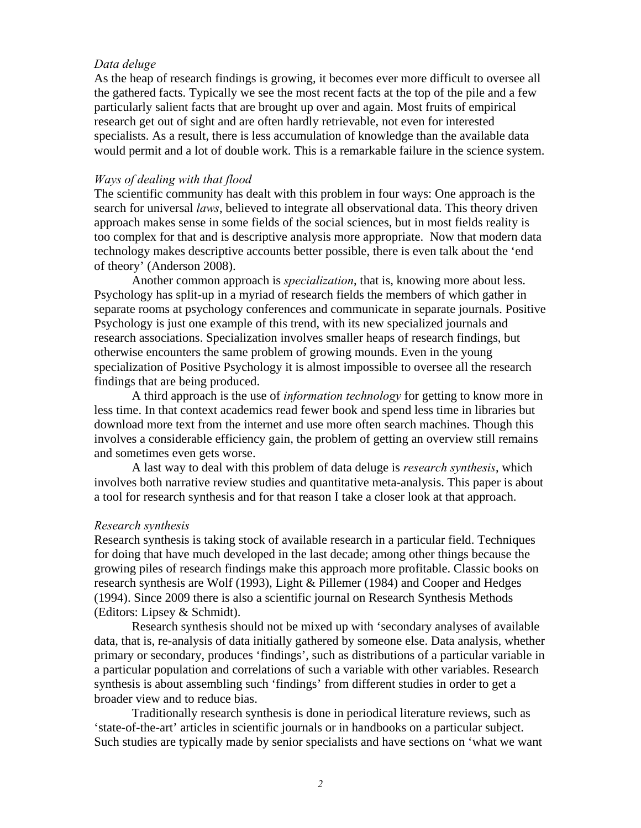#### *Data deluge*

As the heap of research findings is growing, it becomes ever more difficult to oversee all the gathered facts. Typically we see the most recent facts at the top of the pile and a few particularly salient facts that are brought up over and again. Most fruits of empirical research get out of sight and are often hardly retrievable, not even for interested specialists. As a result, there is less accumulation of knowledge than the available data would permit and a lot of double work. This is a remarkable failure in the science system.

#### *Ways of dealing with that flood*

The scientific community has dealt with this problem in four ways: One approach is the search for universal *laws*, believed to integrate all observational data. This theory driven approach makes sense in some fields of the social sciences, but in most fields reality is too complex for that and is descriptive analysis more appropriate. Now that modern data technology makes descriptive accounts better possible, there is even talk about the 'end of theory' (Anderson 2008).

 Another common approach is *specialization*, that is, knowing more about less. Psychology has split-up in a myriad of research fields the members of which gather in separate rooms at psychology conferences and communicate in separate journals. Positive Psychology is just one example of this trend, with its new specialized journals and research associations. Specialization involves smaller heaps of research findings, but otherwise encounters the same problem of growing mounds. Even in the young specialization of Positive Psychology it is almost impossible to oversee all the research findings that are being produced.

 A third approach is the use of *information technology* for getting to know more in less time. In that context academics read fewer book and spend less time in libraries but download more text from the internet and use more often search machines. Though this involves a considerable efficiency gain, the problem of getting an overview still remains and sometimes even gets worse.

 A last way to deal with this problem of data deluge is *research synthesis*, which involves both narrative review studies and quantitative meta-analysis. This paper is about a tool for research synthesis and for that reason I take a closer look at that approach.

#### *Research synthesis*

Research synthesis is taking stock of available research in a particular field. Techniques for doing that have much developed in the last decade; among other things because the growing piles of research findings make this approach more profitable. Classic books on research synthesis are Wolf (1993), Light & Pillemer (1984) and Cooper and Hedges (1994). Since 2009 there is also a scientific journal on Research Synthesis Methods (Editors: Lipsey & Schmidt).

 Research synthesis should not be mixed up with 'secondary analyses of available data, that is, re-analysis of data initially gathered by someone else. Data analysis, whether primary or secondary, produces 'findings', such as distributions of a particular variable in a particular population and correlations of such a variable with other variables. Research synthesis is about assembling such 'findings' from different studies in order to get a broader view and to reduce bias.

 Traditionally research synthesis is done in periodical literature reviews, such as 'state-of-the-art' articles in scientific journals or in handbooks on a particular subject. Such studies are typically made by senior specialists and have sections on 'what we want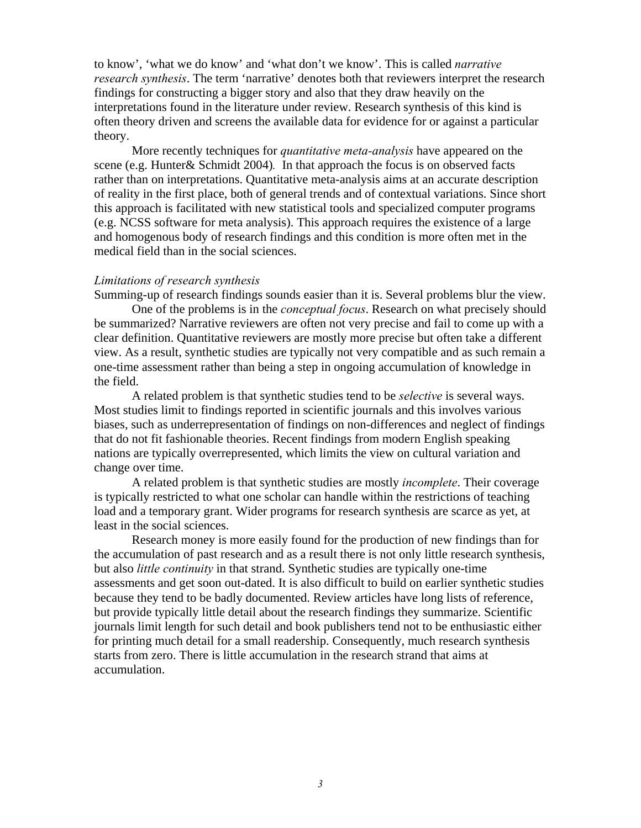to know', 'what we do know' and 'what don't we know'. This is called *narrative research synthesis*. The term 'narrative' denotes both that reviewers interpret the research findings for constructing a bigger story and also that they draw heavily on the interpretations found in the literature under review. Research synthesis of this kind is often theory driven and screens the available data for evidence for or against a particular theory.

 More recently techniques for *quantitative meta-analysis* have appeared on the scene (e.g. Hunter& Schmidt 2004)*.* In that approach the focus is on observed facts rather than on interpretations. Quantitative meta-analysis aims at an accurate description of reality in the first place, both of general trends and of contextual variations. Since short this approach is facilitated with new statistical tools and specialized computer programs (e.g. NCSS software for meta analysis). This approach requires the existence of a large and homogenous body of research findings and this condition is more often met in the medical field than in the social sciences.

#### *Limitations of research synthesis*

Summing-up of research findings sounds easier than it is. Several problems blur the view. One of the problems is in the *conceptual focus*. Research on what precisely should be summarized? Narrative reviewers are often not very precise and fail to come up with a clear definition. Quantitative reviewers are mostly more precise but often take a different view. As a result, synthetic studies are typically not very compatible and as such remain a one-time assessment rather than being a step in ongoing accumulation of knowledge in the field.

 A related problem is that synthetic studies tend to be *selective* is several ways. Most studies limit to findings reported in scientific journals and this involves various biases, such as underrepresentation of findings on non-differences and neglect of findings that do not fit fashionable theories. Recent findings from modern English speaking nations are typically overrepresented, which limits the view on cultural variation and change over time.

 A related problem is that synthetic studies are mostly *incomplete*. Their coverage is typically restricted to what one scholar can handle within the restrictions of teaching load and a temporary grant. Wider programs for research synthesis are scarce as yet, at least in the social sciences.

 Research money is more easily found for the production of new findings than for the accumulation of past research and as a result there is not only little research synthesis, but also *little continuity* in that strand. Synthetic studies are typically one-time assessments and get soon out-dated. It is also difficult to build on earlier synthetic studies because they tend to be badly documented. Review articles have long lists of reference, but provide typically little detail about the research findings they summarize. Scientific journals limit length for such detail and book publishers tend not to be enthusiastic either for printing much detail for a small readership. Consequently, much research synthesis starts from zero. There is little accumulation in the research strand that aims at accumulation.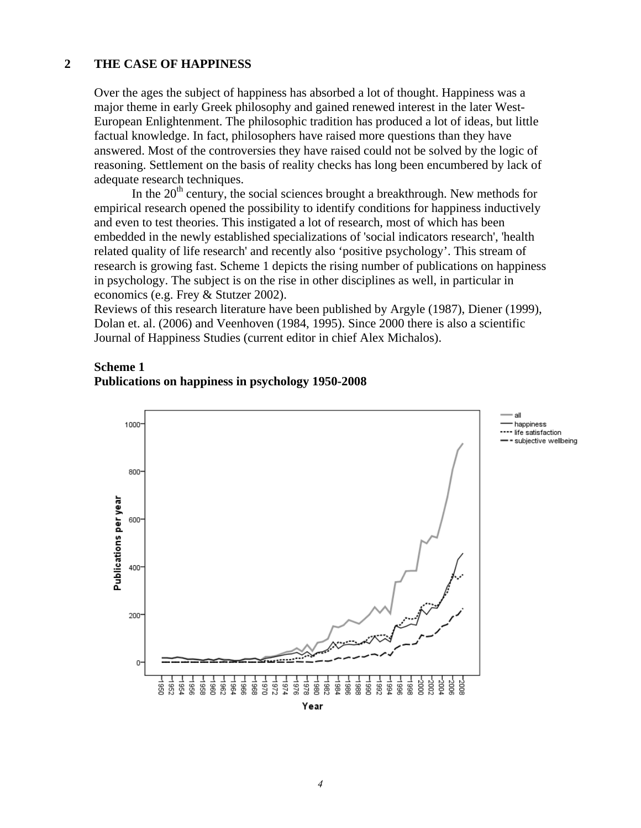#### **2 THE CASE OF HAPPINESS**

Over the ages the subject of happiness has absorbed a lot of thought. Happiness was a major theme in early Greek philosophy and gained renewed interest in the later West-European Enlightenment. The philosophic tradition has produced a lot of ideas, but little factual knowledge. In fact, philosophers have raised more questions than they have answered. Most of the controversies they have raised could not be solved by the logic of reasoning. Settlement on the basis of reality checks has long been encumbered by lack of adequate research techniques.

In the  $20<sup>th</sup>$  century, the social sciences brought a breakthrough. New methods for empirical research opened the possibility to identify conditions for happiness inductively and even to test theories. This instigated a lot of research, most of which has been embedded in the newly established specializations of 'social indicators research', 'health related quality of life research' and recently also 'positive psychology'. This stream of research is growing fast. Scheme 1 depicts the rising number of publications on happiness in psychology. The subject is on the rise in other disciplines as well, in particular in economics (e.g. Frey & Stutzer 2002).

Reviews of this research literature have been published by Argyle (1987), Diener (1999), Dolan et. al. (2006) and Veenhoven (1984, 1995). Since 2000 there is also a scientific Journal of Happiness Studies (current editor in chief Alex Michalos).

### **Scheme 1 Publications on happiness in psychology 1950-2008**

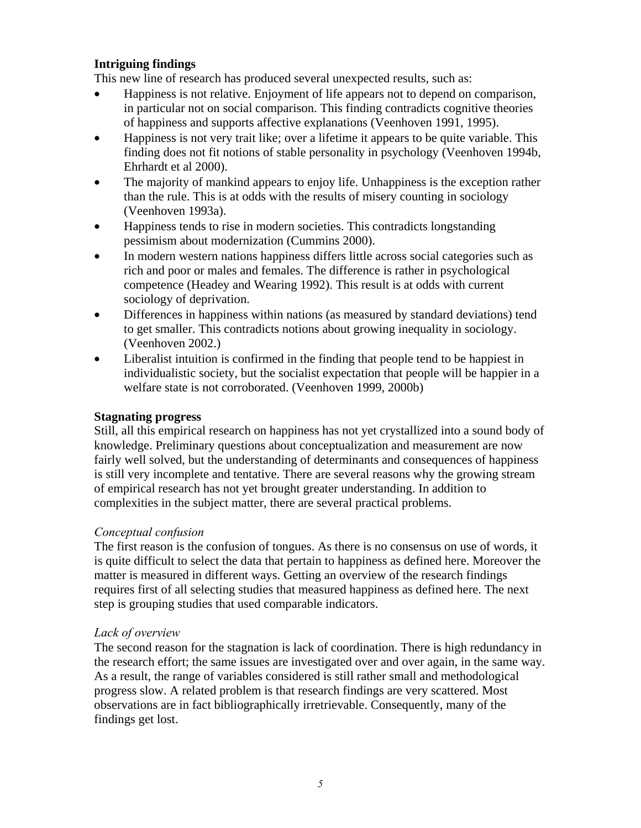### **Intriguing findings**

This new line of research has produced several unexpected results, such as:

- Happiness is not relative. Enjoyment of life appears not to depend on comparison, in particular not on social comparison. This finding contradicts cognitive theories of happiness and supports affective explanations (Veenhoven 1991, 1995).
- Happiness is not very trait like; over a lifetime it appears to be quite variable. This finding does not fit notions of stable personality in psychology (Veenhoven 1994b, Ehrhardt et al 2000).
- The majority of mankind appears to enjoy life. Unhappiness is the exception rather than the rule. This is at odds with the results of misery counting in sociology (Veenhoven 1993a).
- Happiness tends to rise in modern societies. This contradicts longstanding pessimism about modernization (Cummins 2000).
- In modern western nations happiness differs little across social categories such as rich and poor or males and females. The difference is rather in psychological competence (Headey and Wearing 1992). This result is at odds with current sociology of deprivation.
- Differences in happiness within nations (as measured by standard deviations) tend to get smaller. This contradicts notions about growing inequality in sociology. (Veenhoven 2002.)
- Liberalist intuition is confirmed in the finding that people tend to be happiest in individualistic society, but the socialist expectation that people will be happier in a welfare state is not corroborated. (Veenhoven 1999, 2000b)

#### **Stagnating progress**

Still, all this empirical research on happiness has not yet crystallized into a sound body of knowledge. Preliminary questions about conceptualization and measurement are now fairly well solved, but the understanding of determinants and consequences of happiness is still very incomplete and tentative. There are several reasons why the growing stream of empirical research has not yet brought greater understanding. In addition to complexities in the subject matter, there are several practical problems.

#### *Conceptual confusion*

The first reason is the confusion of tongues. As there is no consensus on use of words, it is quite difficult to select the data that pertain to happiness as defined here. Moreover the matter is measured in different ways. Getting an overview of the research findings requires first of all selecting studies that measured happiness as defined here. The next step is grouping studies that used comparable indicators.

#### *Lack of overview*

The second reason for the stagnation is lack of coordination. There is high redundancy in the research effort; the same issues are investigated over and over again, in the same way. As a result, the range of variables considered is still rather small and methodological progress slow. A related problem is that research findings are very scattered. Most observations are in fact bibliographically irretrievable. Consequently, many of the findings get lost.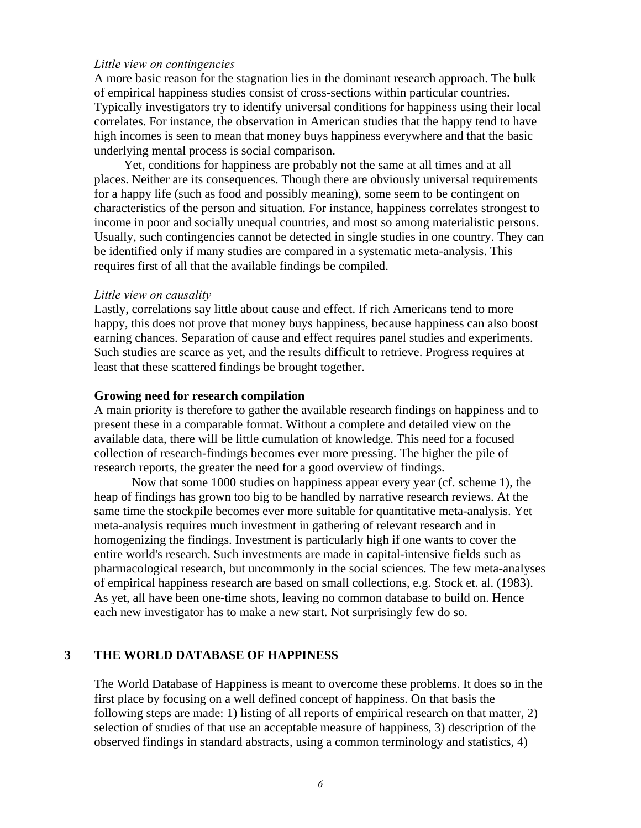#### *Little view on contingencies*

A more basic reason for the stagnation lies in the dominant research approach. The bulk of empirical happiness studies consist of cross-sections within particular countries. Typically investigators try to identify universal conditions for happiness using their local correlates. For instance, the observation in American studies that the happy tend to have high incomes is seen to mean that money buys happiness everywhere and that the basic underlying mental process is social comparison.

Yet, conditions for happiness are probably not the same at all times and at all places. Neither are its consequences. Though there are obviously universal requirements for a happy life (such as food and possibly meaning), some seem to be contingent on characteristics of the person and situation. For instance, happiness correlates strongest to income in poor and socially unequal countries, and most so among materialistic persons. Usually, such contingencies cannot be detected in single studies in one country. They can be identified only if many studies are compared in a systematic meta-analysis. This requires first of all that the available findings be compiled.

#### *Little view on causality*

Lastly, correlations say little about cause and effect. If rich Americans tend to more happy, this does not prove that money buys happiness, because happiness can also boost earning chances. Separation of cause and effect requires panel studies and experiments. Such studies are scarce as yet, and the results difficult to retrieve. Progress requires at least that these scattered findings be brought together.

#### **Growing need for research compilation**

A main priority is therefore to gather the available research findings on happiness and to present these in a comparable format. Without a complete and detailed view on the available data, there will be little cumulation of knowledge. This need for a focused collection of research-findings becomes ever more pressing. The higher the pile of research reports, the greater the need for a good overview of findings.

 Now that some 1000 studies on happiness appear every year (cf. scheme 1), the heap of findings has grown too big to be handled by narrative research reviews. At the same time the stockpile becomes ever more suitable for quantitative meta-analysis. Yet meta-analysis requires much investment in gathering of relevant research and in homogenizing the findings. Investment is particularly high if one wants to cover the entire world's research. Such investments are made in capital-intensive fields such as pharmacological research, but uncommonly in the social sciences. The few meta-analyses of empirical happiness research are based on small collections, e.g. Stock et. al. (1983). As yet, all have been one-time shots, leaving no common database to build on. Hence each new investigator has to make a new start. Not surprisingly few do so.

#### **3 THE WORLD DATABASE OF HAPPINESS**

The World Database of Happiness is meant to overcome these problems. It does so in the first place by focusing on a well defined concept of happiness. On that basis the following steps are made: 1) listing of all reports of empirical research on that matter, 2) selection of studies of that use an acceptable measure of happiness, 3) description of the observed findings in standard abstracts, using a common terminology and statistics, 4)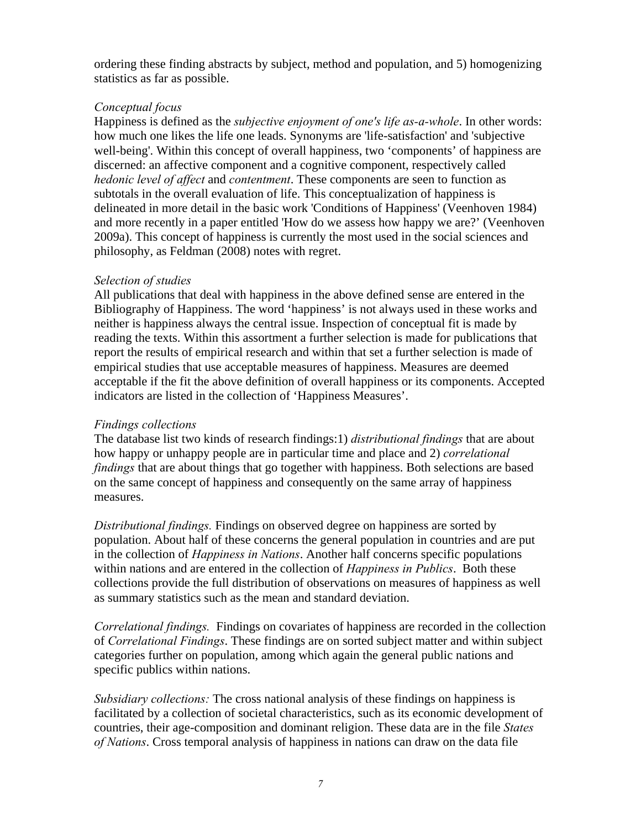ordering these finding abstracts by subject, method and population, and 5) homogenizing statistics as far as possible.

### *Conceptual focus*

Happiness is defined as the *subjective enjoyment of one's life as-a-whole*. In other words: how much one likes the life one leads. Synonyms are 'life-satisfaction' and 'subjective well-being'. Within this concept of overall happiness, two 'components' of happiness are discerned: an affective component and a cognitive component, respectively called *hedonic level of affect* and *contentment*. These components are seen to function as subtotals in the overall evaluation of life. This conceptualization of happiness is delineated in more detail in the basic work 'Conditions of Happiness' (Veenhoven 1984) and more recently in a paper entitled 'How do we assess how happy we are?' (Veenhoven 2009a). This concept of happiness is currently the most used in the social sciences and philosophy, as Feldman (2008) notes with regret.

### *Selection of studies*

All publications that deal with happiness in the above defined sense are entered in the Bibliography of Happiness. The word 'happiness' is not always used in these works and neither is happiness always the central issue. Inspection of conceptual fit is made by reading the texts. Within this assortment a further selection is made for publications that report the results of empirical research and within that set a further selection is made of empirical studies that use acceptable measures of happiness. Measures are deemed acceptable if the fit the above definition of overall happiness or its components. Accepted indicators are listed in the collection of 'Happiness Measures'.

# *Findings collections*

The database list two kinds of research findings:1) *distributional findings* that are about how happy or unhappy people are in particular time and place and 2) *correlational findings* that are about things that go together with happiness. Both selections are based on the same concept of happiness and consequently on the same array of happiness measures.

*Distributional findings.* Findings on observed degree on happiness are sorted by population. About half of these concerns the general population in countries and are put in the collection of *Happiness in Nations*. Another half concerns specific populations within nations and are entered in the collection of *Happiness in Publics*. Both these collections provide the full distribution of observations on measures of happiness as well as summary statistics such as the mean and standard deviation.

*Correlational findings.* Findings on covariates of happiness are recorded in the collection of *Correlational Findings*. These findings are on sorted subject matter and within subject categories further on population, among which again the general public nations and specific publics within nations.

*Subsidiary collections:* The cross national analysis of these findings on happiness is facilitated by a collection of societal characteristics, such as its economic development of countries, their age-composition and dominant religion. These data are in the file *States of Nations*. Cross temporal analysis of happiness in nations can draw on the data file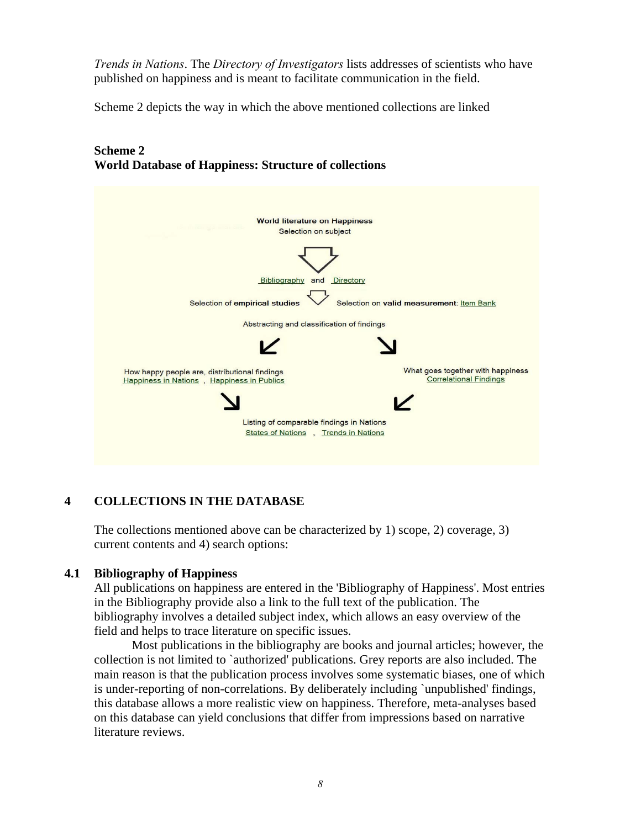*Trends in Nations*. The *Directory of Investigators* lists addresses of scientists who have published on happiness and is meant to facilitate communication in the field.

Scheme 2 depicts the way in which the above mentioned collections are linked

### **Scheme 2 World Database of Happiness: Structure of collections**



# **4 COLLECTIONS IN THE DATABASE**

The collections mentioned above can be characterized by 1) scope, 2) coverage, 3) current contents and 4) search options:

#### **4.1 Bibliography of Happiness**

All publications on happiness are entered in the 'Bibliography of Happiness'. Most entries in the Bibliography provide also a link to the full text of the publication. The bibliography involves a detailed subject index, which allows an easy overview of the field and helps to trace literature on specific issues.

 Most publications in the bibliography are books and journal articles; however, the collection is not limited to `authorized' publications. Grey reports are also included. The main reason is that the publication process involves some systematic biases, one of which is under-reporting of non-correlations. By deliberately including `unpublished' findings, this database allows a more realistic view on happiness. Therefore, meta-analyses based on this database can yield conclusions that differ from impressions based on narrative literature reviews.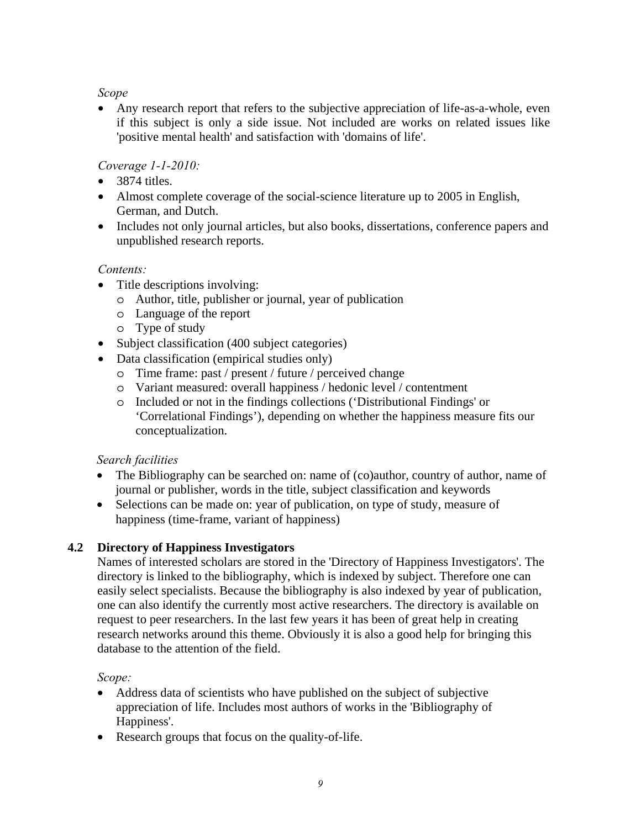# *Scope*

• Any research report that refers to the subjective appreciation of life-as-a-whole, even if this subject is only a side issue. Not included are works on related issues like 'positive mental health' and satisfaction with 'domains of life'.

# *Coverage 1-1-2010:*

- $\bullet$  3874 titles.
- Almost complete coverage of the social-science literature up to 2005 in English, German, and Dutch.
- Includes not only journal articles, but also books, dissertations, conference papers and unpublished research reports.

# *Contents:*

- Title descriptions involving:
	- o Author, title, publisher or journal, year of publication
	- o Language of the report
	- o Type of study
- Subject classification (400 subject categories)
- Data classification (empirical studies only)
	- o Time frame: past / present / future / perceived change
	- o Variant measured: overall happiness / hedonic level / contentment
	- o Included or not in the findings collections ('Distributional Findings' or 'Correlational Findings'), depending on whether the happiness measure fits our conceptualization.

# *Search facilities*

- The Bibliography can be searched on: name of (co)author, country of author, name of journal or publisher, words in the title, subject classification and keywords
- Selections can be made on: year of publication, on type of study, measure of happiness (time-frame, variant of happiness)

# **4.2 Directory of Happiness Investigators**

Names of interested scholars are stored in the 'Directory of Happiness Investigators'. The directory is linked to the bibliography, which is indexed by subject. Therefore one can easily select specialists. Because the bibliography is also indexed by year of publication, one can also identify the currently most active researchers. The directory is available on request to peer researchers. In the last few years it has been of great help in creating research networks around this theme. Obviously it is also a good help for bringing this database to the attention of the field.

*Scope:* 

- Address data of scientists who have published on the subject of subjective appreciation of life. Includes most authors of works in the 'Bibliography of Happiness'.
- Research groups that focus on the quality-of-life.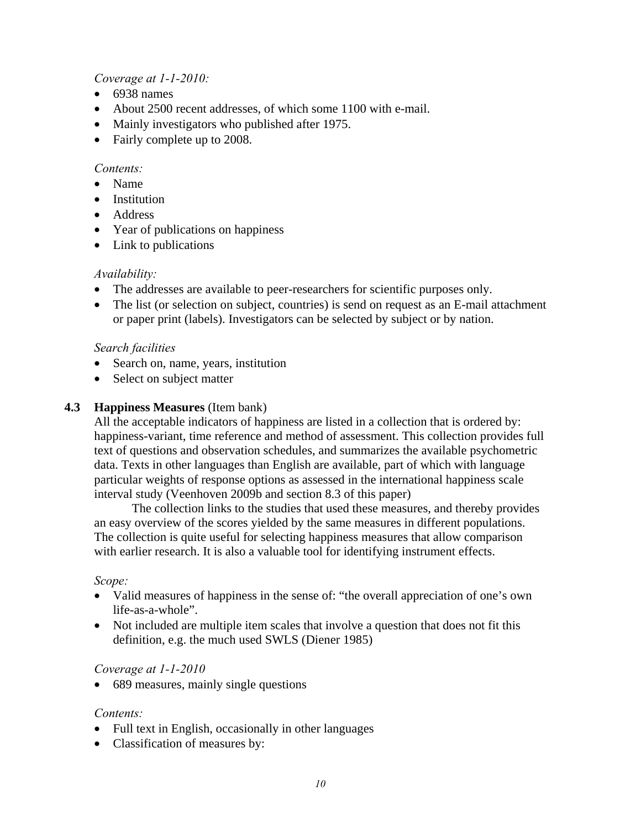### *Coverage at 1-1-2010:*

- 6938 names
- About 2500 recent addresses, of which some 1100 with e-mail.
- Mainly investigators who published after 1975.
- Fairly complete up to 2008.

#### *Contents:*

- Name
- Institution
- Address
- Year of publications on happiness
- Link to publications

#### *Availability:*

- The addresses are available to peer-researchers for scientific purposes only.
- The list (or selection on subject, countries) is send on request as an E-mail attachment or paper print (labels). Investigators can be selected by subject or by nation.

#### *Search facilities*

- Search on, name, years, institution
- Select on subject matter

#### **4.3 Happiness Measures** (Item bank)

All the acceptable indicators of happiness are listed in a collection that is ordered by: happiness-variant, time reference and method of assessment. This collection provides full text of questions and observation schedules, and summarizes the available psychometric data. Texts in other languages than English are available, part of which with language particular weights of response options as assessed in the international happiness scale interval study (Veenhoven 2009b and section 8.3 of this paper)

 The collection links to the studies that used these measures, and thereby provides an easy overview of the scores yielded by the same measures in different populations. The collection is quite useful for selecting happiness measures that allow comparison with earlier research. It is also a valuable tool for identifying instrument effects.

#### *Scope:*

- Valid measures of happiness in the sense of: "the overall appreciation of one's own life-as-a-whole".
- Not included are multiple item scales that involve a question that does not fit this definition, e.g. the much used SWLS (Diener 1985)

#### *Coverage at 1-1-2010*

• 689 measures, mainly single questions

#### *Contents:*

- Full text in English, occasionally in other languages
- Classification of measures by: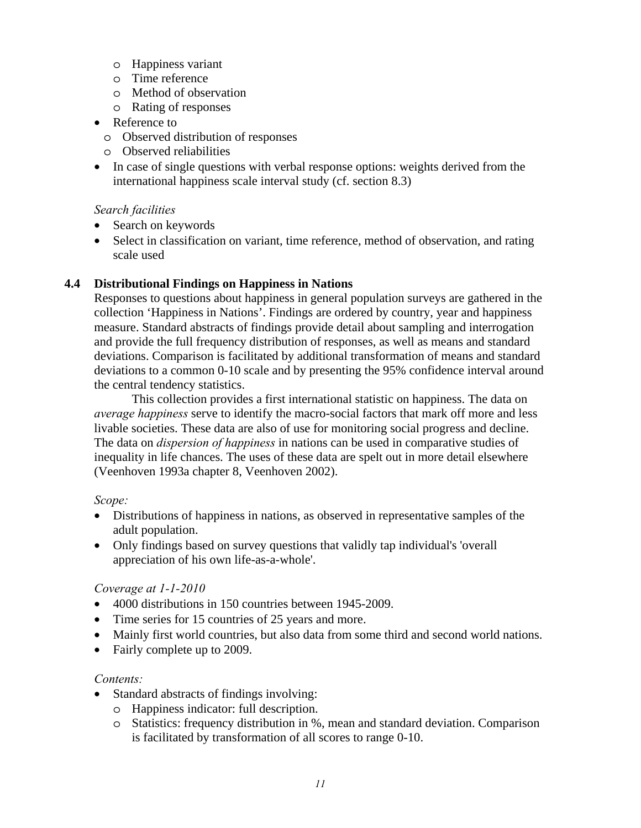- o Happiness variant
- o Time reference
- o Method of observation
- o Rating of responses
- Reference to
	- o Observed distribution of responses
	- o Observed reliabilities
- In case of single questions with verbal response options: weights derived from the international happiness scale interval study (cf. section 8.3)

### *Search facilities*

- Search on keywords
- Select in classification on variant, time reference, method of observation, and rating scale used

# **4.4 Distributional Findings on Happiness in Nations**

Responses to questions about happiness in general population surveys are gathered in the collection 'Happiness in Nations'. Findings are ordered by country, year and happiness measure. Standard abstracts of findings provide detail about sampling and interrogation and provide the full frequency distribution of responses, as well as means and standard deviations. Comparison is facilitated by additional transformation of means and standard deviations to a common 0-10 scale and by presenting the 95% confidence interval around the central tendency statistics.

 This collection provides a first international statistic on happiness. The data on *average happiness* serve to identify the macro-social factors that mark off more and less livable societies. These data are also of use for monitoring social progress and decline. The data on *dispersion of happiness* in nations can be used in comparative studies of inequality in life chances. The uses of these data are spelt out in more detail elsewhere (Veenhoven 1993a chapter 8, Veenhoven 2002).

#### *Scope:*

- Distributions of happiness in nations, as observed in representative samples of the adult population.
- Only findings based on survey questions that validly tap individual's 'overall appreciation of his own life-as-a-whole'.

#### *Coverage at 1-1-2010*

- 4000 distributions in 150 countries between 1945-2009.
- Time series for 15 countries of 25 years and more.
- Mainly first world countries, but also data from some third and second world nations.
- Fairly complete up to 2009.

#### *Contents:*

- Standard abstracts of findings involving:
	- o Happiness indicator: full description.
	- o Statistics: frequency distribution in %, mean and standard deviation. Comparison is facilitated by transformation of all scores to range 0-10.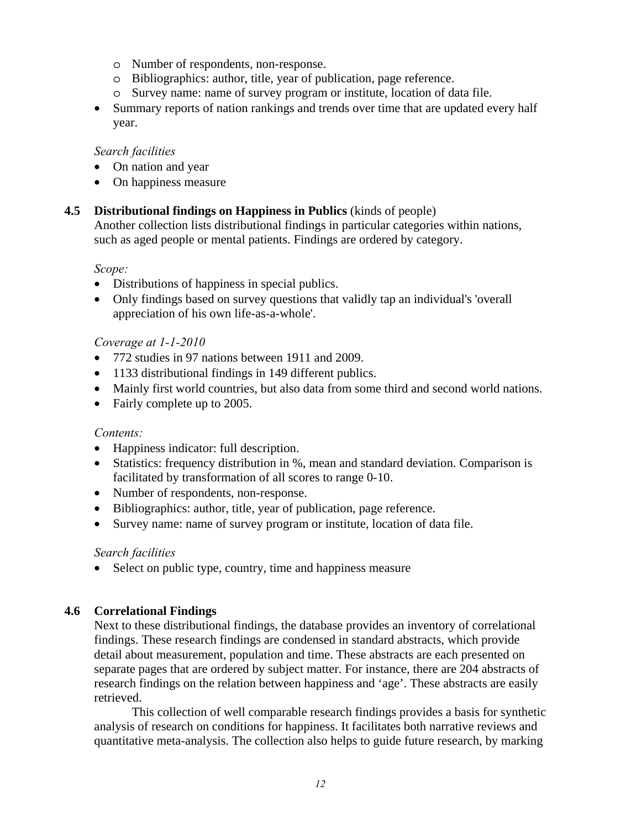- o Number of respondents, non-response.
- o Bibliographics: author, title, year of publication, page reference.
- o Survey name: name of survey program or institute, location of data file.
- Summary reports of nation rankings and trends over time that are updated every half year.

### *Search facilities*

- On nation and year
- On happiness measure

### **4.5 Distributional findings on Happiness in Publics** (kinds of people)

Another collection lists distributional findings in particular categories within nations, such as aged people or mental patients. Findings are ordered by category.

*Scope:* 

- Distributions of happiness in special publics.
- Only findings based on survey questions that validly tap an individual's 'overall appreciation of his own life-as-a-whole'.

# *Coverage at 1-1-2010*

- 772 studies in 97 nations between 1911 and 2009.
- 1133 distributional findings in 149 different publics.
- Mainly first world countries, but also data from some third and second world nations.
- Fairly complete up to 2005.

#### *Contents:*

- Happiness indicator: full description.
- Statistics: frequency distribution in %, mean and standard deviation. Comparison is facilitated by transformation of all scores to range 0-10.
- Number of respondents, non-response.
- Bibliographics: author, title, year of publication, page reference.
- Survey name: name of survey program or institute, location of data file.

# *Search facilities*

• Select on public type, country, time and happiness measure

# **4.6 Correlational Findings**

Next to these distributional findings, the database provides an inventory of correlational findings. These research findings are condensed in standard abstracts, which provide detail about measurement, population and time. These abstracts are each presented on separate pages that are ordered by subject matter. For instance, there are 204 abstracts of research findings on the relation between happiness and 'age'. These abstracts are easily retrieved.

 This collection of well comparable research findings provides a basis for synthetic analysis of research on conditions for happiness. It facilitates both narrative reviews and quantitative meta-analysis. The collection also helps to guide future research, by marking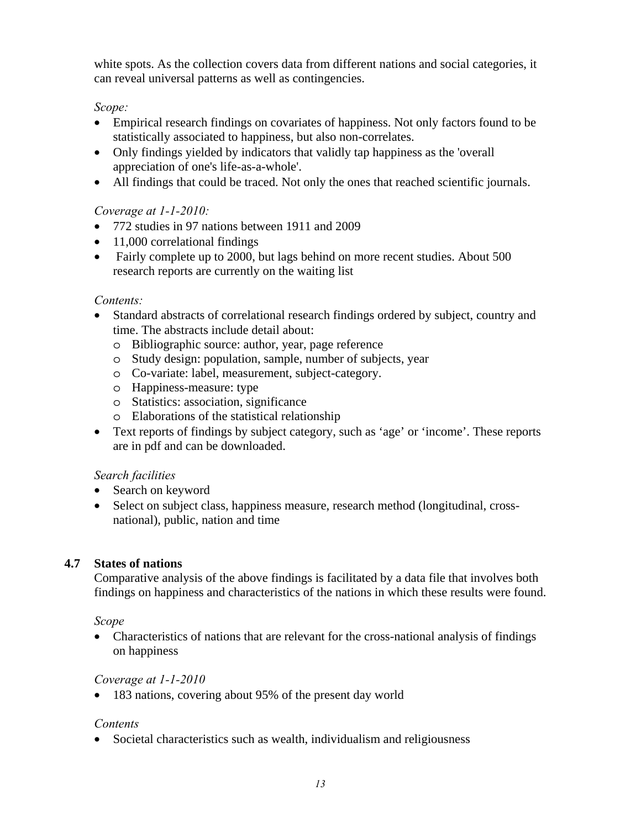white spots. As the collection covers data from different nations and social categories, it can reveal universal patterns as well as contingencies.

# *Scope:*

- Empirical research findings on covariates of happiness. Not only factors found to be statistically associated to happiness, but also non-correlates.
- Only findings yielded by indicators that validly tap happiness as the 'overall appreciation of one's life-as-a-whole'.
- All findings that could be traced. Not only the ones that reached scientific journals.

# *Coverage at 1-1-2010:*

- 772 studies in 97 nations between 1911 and 2009
- 11,000 correlational findings
- Fairly complete up to 2000, but lags behind on more recent studies. About 500 research reports are currently on the waiting list

# *Contents:*

- Standard abstracts of correlational research findings ordered by subject, country and time. The abstracts include detail about:
	- o Bibliographic source: author, year, page reference
	- o Study design: population, sample, number of subjects, year
	- o Co-variate: label, measurement, subject-category.
	- o Happiness-measure: type
	- o Statistics: association, significance
	- o Elaborations of the statistical relationship
- Text reports of findings by subject category, such as 'age' or 'income'. These reports are in pdf and can be downloaded.

# *Search facilities*

- Search on keyword
- Select on subject class, happiness measure, research method (longitudinal, crossnational), public, nation and time

# **4.7 States of nations**

Comparative analysis of the above findings is facilitated by a data file that involves both findings on happiness and characteristics of the nations in which these results were found.

# *Scope*

• Characteristics of nations that are relevant for the cross-national analysis of findings on happiness

# *Coverage at 1-1-2010*

• 183 nations, covering about 95% of the present day world

# *Contents*

• Societal characteristics such as wealth, individualism and religiousness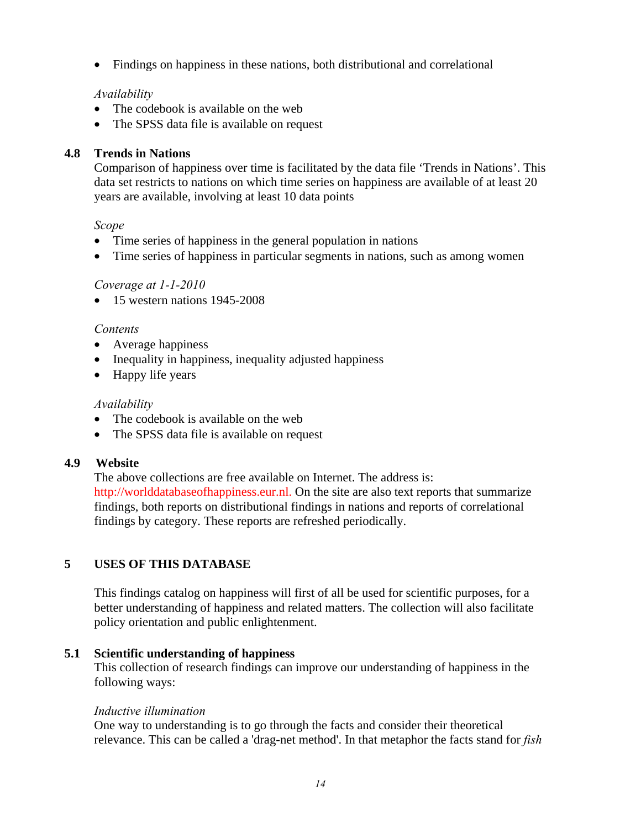• Findings on happiness in these nations, both distributional and correlational

# *Availability*

- The codebook is available on the web
- The SPSS data file is available on request

# **4.8 Trends in Nations**

Comparison of happiness over time is facilitated by the data file 'Trends in Nations'. This data set restricts to nations on which time series on happiness are available of at least 20 years are available, involving at least 10 data points

### *Scope*

- Time series of happiness in the general population in nations
- Time series of happiness in particular segments in nations, such as among women

### *Coverage at 1-1-2010*

• 15 western nations 1945-2008

### *Contents*

- Average happiness
- Inequality in happiness, inequality adjusted happiness
- Happy life years

### *Availability*

- The codebook is available on the web
- The SPSS data file is available on request

#### **4.9 Website**

The above collections are free available on Internet. The address is: [http://worlddatabaseofhappiness.eur.nl.](http://worlddatabaseofhappiness.eur.nl/) On the site are also text reports that summarize findings, both reports on distributional findings in nations and reports of correlational findings by category. These reports are refreshed periodically.

# **5 USES OF THIS DATABASE**

This findings catalog on happiness will first of all be used for scientific purposes, for a better understanding of happiness and related matters. The collection will also facilitate policy orientation and public enlightenment.

# **5.1 Scientific understanding of happiness**

This collection of research findings can improve our understanding of happiness in the following ways:

#### *Inductive illumination*

One way to understanding is to go through the facts and consider their theoretical relevance. This can be called a 'drag-net method'. In that metaphor the facts stand for *fish*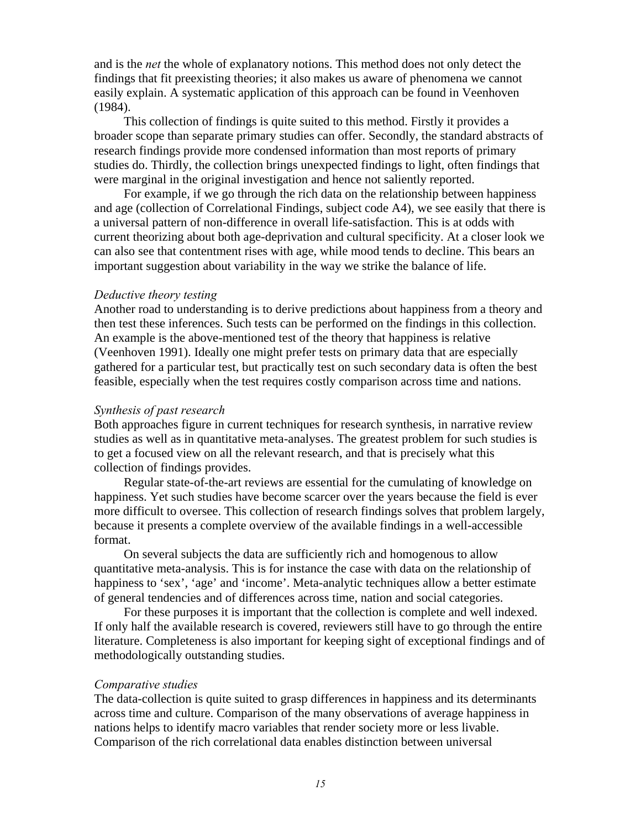and is the *net* the whole of explanatory notions. This method does not only detect the findings that fit preexisting theories; it also makes us aware of phenomena we cannot easily explain. A systematic application of this approach can be found in Veenhoven (1984).

This collection of findings is quite suited to this method. Firstly it provides a broader scope than separate primary studies can offer. Secondly, the standard abstracts of research findings provide more condensed information than most reports of primary studies do. Thirdly, the collection brings unexpected findings to light, often findings that were marginal in the original investigation and hence not saliently reported.

For example, if we go through the rich data on the relationship between happiness and age (collection of Correlational Findings, subject code A4), we see easily that there is a universal pattern of non-difference in overall life-satisfaction. This is at odds with current theorizing about both age-deprivation and cultural specificity. At a closer look we can also see that contentment rises with age, while mood tends to decline. This bears an important suggestion about variability in the way we strike the balance of life.

#### *Deductive theory testing*

Another road to understanding is to derive predictions about happiness from a theory and then test these inferences. Such tests can be performed on the findings in this collection. An example is the above-mentioned test of the theory that happiness is relative (Veenhoven 1991). Ideally one might prefer tests on primary data that are especially gathered for a particular test, but practically test on such secondary data is often the best feasible, especially when the test requires costly comparison across time and nations.

#### *Synthesis of past research*

Both approaches figure in current techniques for research synthesis, in narrative review studies as well as in quantitative meta-analyses. The greatest problem for such studies is to get a focused view on all the relevant research, and that is precisely what this collection of findings provides.

Regular state-of-the-art reviews are essential for the cumulating of knowledge on happiness. Yet such studies have become scarcer over the years because the field is ever more difficult to oversee. This collection of research findings solves that problem largely, because it presents a complete overview of the available findings in a well-accessible format.

On several subjects the data are sufficiently rich and homogenous to allow quantitative meta-analysis. This is for instance the case with data on the relationship of happiness to 'sex', 'age' and 'income'. Meta-analytic techniques allow a better estimate of general tendencies and of differences across time, nation and social categories.

For these purposes it is important that the collection is complete and well indexed. If only half the available research is covered, reviewers still have to go through the entire literature. Completeness is also important for keeping sight of exceptional findings and of methodologically outstanding studies.

#### *Comparative studies*

The data-collection is quite suited to grasp differences in happiness and its determinants across time and culture. Comparison of the many observations of average happiness in nations helps to identify macro variables that render society more or less livable. Comparison of the rich correlational data enables distinction between universal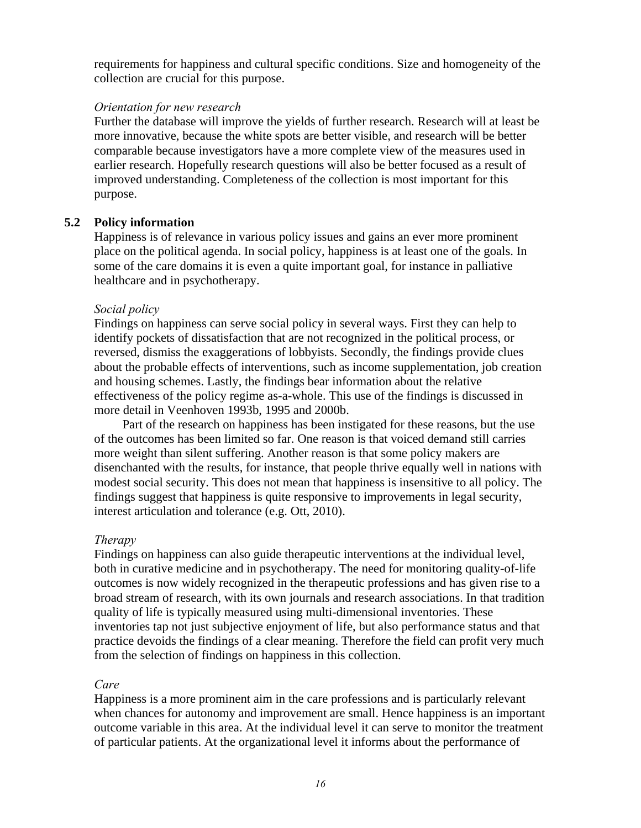requirements for happiness and cultural specific conditions. Size and homogeneity of the collection are crucial for this purpose.

### *Orientation for new research*

Further the database will improve the yields of further research. Research will at least be more innovative, because the white spots are better visible, and research will be better comparable because investigators have a more complete view of the measures used in earlier research. Hopefully research questions will also be better focused as a result of improved understanding. Completeness of the collection is most important for this purpose.

# **5.2 Policy information**

Happiness is of relevance in various policy issues and gains an ever more prominent place on the political agenda. In social policy, happiness is at least one of the goals. In some of the care domains it is even a quite important goal, for instance in palliative healthcare and in psychotherapy.

# *Social policy*

Findings on happiness can serve social policy in several ways. First they can help to identify pockets of dissatisfaction that are not recognized in the political process, or reversed, dismiss the exaggerations of lobbyists. Secondly, the findings provide clues about the probable effects of interventions, such as income supplementation, job creation and housing schemes. Lastly, the findings bear information about the relative effectiveness of the policy regime as-a-whole. This use of the findings is discussed in more detail in Veenhoven 1993b, 1995 and 2000b.

Part of the research on happiness has been instigated for these reasons, but the use of the outcomes has been limited so far. One reason is that voiced demand still carries more weight than silent suffering. Another reason is that some policy makers are disenchanted with the results, for instance, that people thrive equally well in nations with modest social security. This does not mean that happiness is insensitive to all policy. The findings suggest that happiness is quite responsive to improvements in legal security, interest articulation and tolerance (e.g. Ott, 2010).

# *Therapy*

Findings on happiness can also guide therapeutic interventions at the individual level, both in curative medicine and in psychotherapy. The need for monitoring quality-of-life outcomes is now widely recognized in the therapeutic professions and has given rise to a broad stream of research, with its own journals and research associations. In that tradition quality of life is typically measured using multi-dimensional inventories. These inventories tap not just subjective enjoyment of life, but also performance status and that practice devoids the findings of a clear meaning. Therefore the field can profit very much from the selection of findings on happiness in this collection.

# *Care*

Happiness is a more prominent aim in the care professions and is particularly relevant when chances for autonomy and improvement are small. Hence happiness is an important outcome variable in this area. At the individual level it can serve to monitor the treatment of particular patients. At the organizational level it informs about the performance of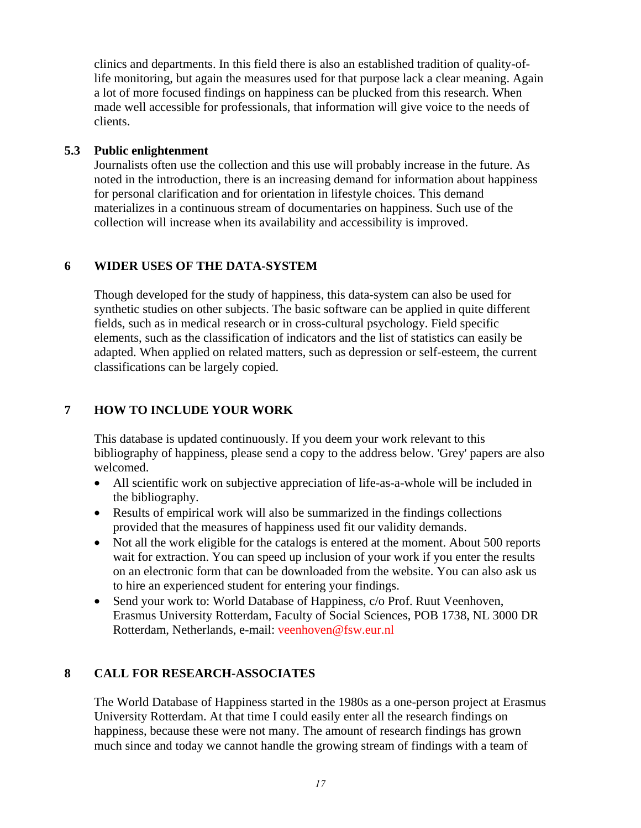clinics and departments. In this field there is also an established tradition of quality-oflife monitoring, but again the measures used for that purpose lack a clear meaning. Again a lot of more focused findings on happiness can be plucked from this research. When made well accessible for professionals, that information will give voice to the needs of clients.

# **5.3 Public enlightenment**

Journalists often use the collection and this use will probably increase in the future. As noted in the introduction, there is an increasing demand for information about happiness for personal clarification and for orientation in lifestyle choices. This demand materializes in a continuous stream of documentaries on happiness. Such use of the collection will increase when its availability and accessibility is improved.

# **6 WIDER USES OF THE DATA-SYSTEM**

Though developed for the study of happiness, this data-system can also be used for synthetic studies on other subjects. The basic software can be applied in quite different fields, such as in medical research or in cross-cultural psychology. Field specific elements, such as the classification of indicators and the list of statistics can easily be adapted. When applied on related matters, such as depression or self-esteem, the current classifications can be largely copied.

# **7 HOW TO INCLUDE YOUR WORK**

This database is updated continuously. If you deem your work relevant to this bibliography of happiness, please send a copy to the address below. 'Grey' papers are also welcomed.

- All scientific work on subjective appreciation of life-as-a-whole will be included in the bibliography.
- Results of empirical work will also be summarized in the findings collections provided that the measures of happiness used fit our validity demands.
- Not all the work eligible for the catalogs is entered at the moment. About 500 reports wait for extraction. You can speed up inclusion of your work if you enter the results on an electronic form that can be downloaded from the website. You can also ask us to hire an experienced student for entering your findings.
- Send your work to: World Database of Happiness, c/o Prof. Ruut Veenhoven, Erasmus University Rotterdam, Faculty of Social Sciences, POB 1738, NL 3000 DR Rotterdam, Netherlands, e-mail: [veenhoven@fsw.eur.nl](mailto:veenhoven@fsw.eur.nl)

# **8 CALL FOR RESEARCH-ASSOCIATES**

The World Database of Happiness started in the 1980s as a one-person project at Erasmus University Rotterdam. At that time I could easily enter all the research findings on happiness, because these were not many. The amount of research findings has grown much since and today we cannot handle the growing stream of findings with a team of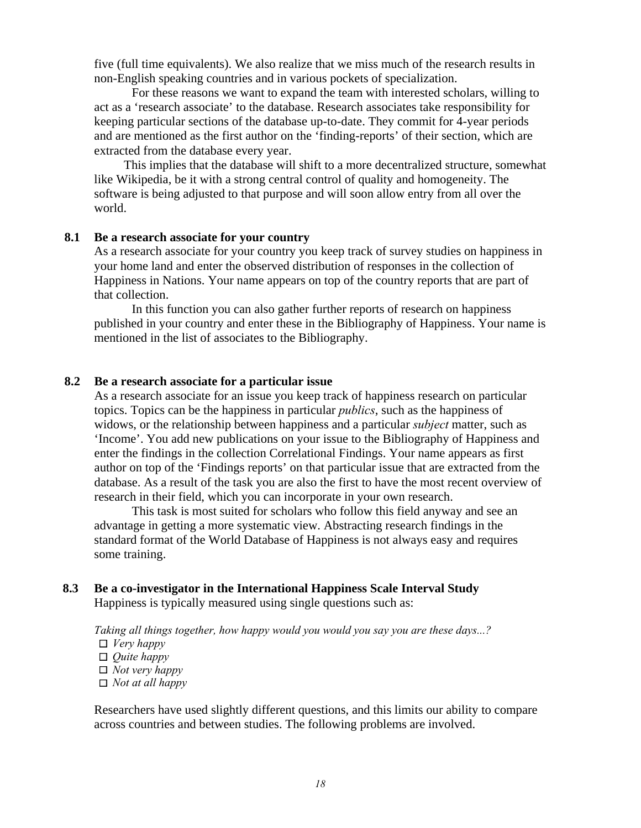five (full time equivalents). We also realize that we miss much of the research results in non-English speaking countries and in various pockets of specialization.

For these reasons we want to expand the team with interested scholars, willing to act as a 'research associate' to the database. Research associates take responsibility for keeping particular sections of the database up-to-date. They commit for 4-year periods and are mentioned as the first author on the 'finding-reports' of their section, which are extracted from the database every year.

This implies that the database will shift to a more decentralized structure, somewhat like Wikipedia, be it with a strong central control of quality and homogeneity. The software is being adjusted to that purpose and will soon allow entry from all over the world.

#### **8.1 Be a research associate for your country**

As a research associate for your country you keep track of survey studies on happiness in your home land and enter the observed distribution of responses in the collection of Happiness in Nations. Your name appears on top of the country reports that are part of that collection.

 In this function you can also gather further reports of research on happiness published in your country and enter these in the Bibliography of Happiness. Your name is mentioned in the list of associates to the Bibliography.

#### **8.2 Be a research associate for a particular issue**

As a research associate for an issue you keep track of happiness research on particular topics. Topics can be the happiness in particular *publics*, such as the happiness of widows, or the relationship between happiness and a particular *subject* matter, such as 'Income'. You add new publications on your issue to the Bibliography of Happiness and enter the findings in the collection Correlational Findings. Your name appears as first author on top of the 'Findings reports' on that particular issue that are extracted from the database. As a result of the task you are also the first to have the most recent overview of research in their field, which you can incorporate in your own research.

 This task is most suited for scholars who follow this field anyway and see an advantage in getting a more systematic view. Abstracting research findings in the standard format of the World Database of Happiness is not always easy and requires some training.

# **8.3 Be a co-investigator in the International Happiness Scale Interval Study**

Happiness is typically measured using single questions such as:

*Taking all things together, how happy would you would you say you are these days...?* 

- *Very happy*
- *Quite happy*
- *Not very happy*
- *Not at all happy*

Researchers have used slightly different questions, and this limits our ability to compare across countries and between studies. The following problems are involved.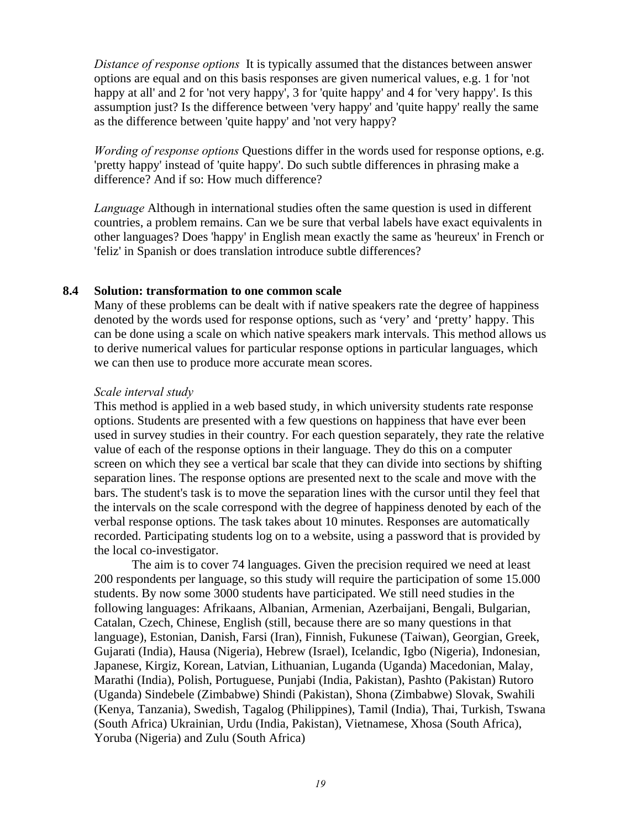*Distance of response options* It is typically assumed that the distances between answer options are equal and on this basis responses are given numerical values, e.g. 1 for 'not happy at all' and 2 for 'not very happy', 3 for 'quite happy' and 4 for 'very happy'. Is this assumption just? Is the difference between 'very happy' and 'quite happy' really the same as the difference between 'quite happy' and 'not very happy?

*Wording of response options* Questions differ in the words used for response options, e.g. 'pretty happy' instead of 'quite happy'. Do such subtle differences in phrasing make a difference? And if so: How much difference?

*Language* Although in international studies often the same question is used in different countries, a problem remains. Can we be sure that verbal labels have exact equivalents in other languages? Does 'happy' in English mean exactly the same as 'heureux' in French or 'feliz' in Spanish or does translation introduce subtle differences?

#### **8.4 Solution: transformation to one common scale**

Many of these problems can be dealt with if native speakers rate the degree of happiness denoted by the words used for response options, such as 'very' and 'pretty' happy. This can be done using a scale on which native speakers mark intervals. This method allows us to derive numerical values for particular response options in particular languages, which we can then use to produce more accurate mean scores.

#### *Scale interval study*

This method is applied in a web based study, in which university students rate response options. Students are presented with a few questions on happiness that have ever been used in survey studies in their country. For each question separately, they rate the relative value of each of the response options in their language. They do this on a computer screen on which they see a vertical bar scale that they can divide into sections by shifting separation lines. The response options are presented next to the scale and move with the bars. The student's task is to move the separation lines with the cursor until they feel that the intervals on the scale correspond with the degree of happiness denoted by each of the verbal response options. The task takes about 10 minutes. Responses are automatically recorded. Participating students log on to a website, using a password that is provided by the local co-investigator.

 The aim is to cover 74 languages. Given the precision required we need at least 200 respondents per language, so this study will require the participation of some 15.000 students. By now some 3000 students have participated. We still need studies in the following languages: Afrikaans, Albanian, Armenian, Azerbaijani, Bengali, Bulgarian, Catalan, Czech, Chinese, English (still, because there are so many questions in that language), Estonian, Danish, Farsi (Iran), Finnish, Fukunese (Taiwan), Georgian, Greek, Gujarati (India), Hausa (Nigeria), Hebrew (Israel), Icelandic, Igbo (Nigeria), Indonesian, Japanese, Kirgiz, Korean, Latvian, Lithuanian, Luganda (Uganda) Macedonian, Malay, Marathi (India), Polish, Portuguese, Punjabi (India, Pakistan), Pashto (Pakistan) Rutoro (Uganda) Sindebele (Zimbabwe) Shindi (Pakistan), Shona (Zimbabwe) Slovak, Swahili (Kenya, Tanzania), Swedish, Tagalog (Philippines), Tamil (India), Thai, Turkish, Tswana (South Africa) Ukrainian, Urdu (India, Pakistan), Vietnamese, Xhosa (South Africa), Yoruba (Nigeria) and Zulu (South Africa)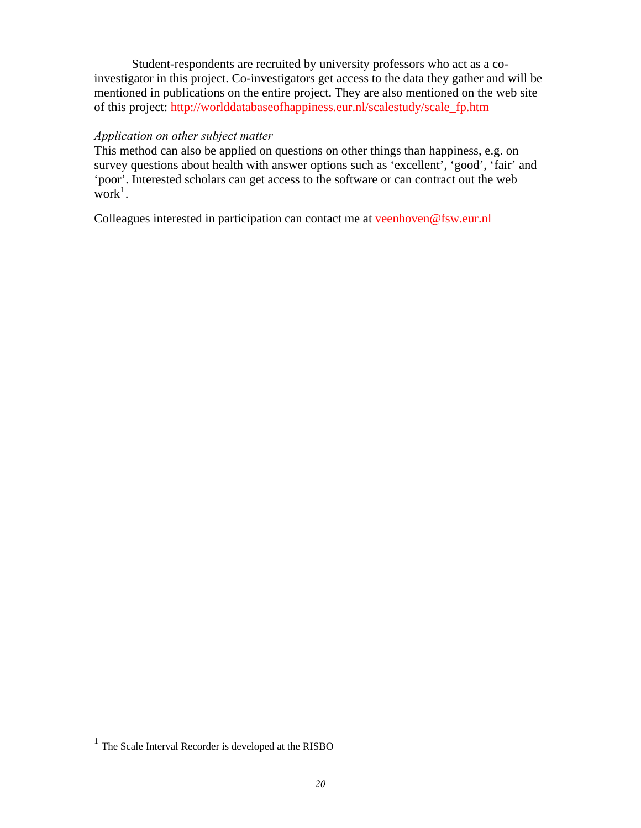Student-respondents are recruited by university professors who act as a coinvestigator in this project. Co-investigators get access to the data they gather and will be mentioned in publications on the entire project. They are also mentioned on the web site of this project: [http://worlddatabaseofhappiness.eur.nl/scalestudy/scale\\_fp.htm](http://worlddatabaseofhappiness.eur.nl/scalestudy/scale_fp.htm)

#### *Application on other subject matter*

This method can also be applied on questions on other things than happiness, e.g. on survey questions about health with answer options such as 'excellent', 'good', 'fair' and 'poor'. Interested scholars can get access to the software or can contract out the web  $work<sup>1</sup>$  $work<sup>1</sup>$  $work<sup>1</sup>$ .

Colleagues interested in participation can contact me at [veenhoven@fsw.eur.nl](mailto:veenhoven@fsw.eur.nl)

<span id="page-19-0"></span> $<sup>1</sup>$  The Scale Interval Recorder is developed at the RISBO</sup>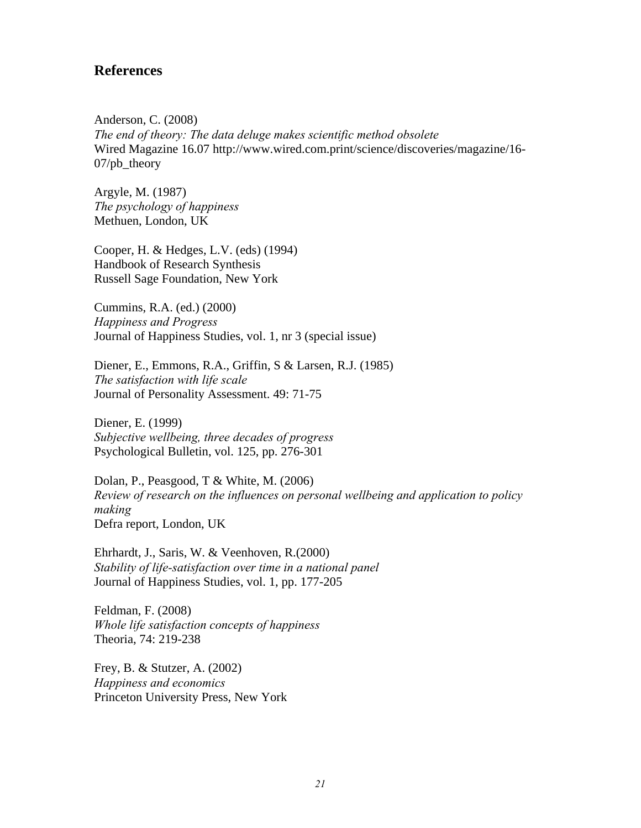# **References**

Anderson, C. (2008) *The end of theory: The data deluge makes scientific method obsolete*  Wired Magazine 16.07 http://www.wired.com.print/science/discoveries/magazine/16- 07/pb\_theory

Argyle, M. (1987) *The psychology of happiness*  Methuen, London, UK

Cooper, H. & Hedges, L.V. (eds) (1994) Handbook of Research Synthesis Russell Sage Foundation, New York

Cummins, R.A. (ed.) (2000) *Happiness and Progress*  Journal of Happiness Studies, vol. 1, nr 3 (special issue)

Diener, E., Emmons, R.A., Griffin, S & Larsen, R.J. (1985) *The satisfaction with life scale* Journal of Personality Assessment. 49: 71-75

Diener, E. (1999) *Subjective wellbeing, three decades of progress* Psychological Bulletin, vol. 125, pp. 276-301

Dolan, P., Peasgood, T & White, M. (2006) *Review of research on the influences on personal wellbeing and application to policy making* Defra report, London, UK

Ehrhardt, J., Saris, W. & Veenhoven, R.(2000) *Stability of life-satisfaction over time in a national panel* Journal of Happiness Studies, vol. 1, pp. 177-205

Feldman, F. (2008) *Whole life satisfaction concepts of happiness* Theoria, 74: 219-238

Frey, B. & Stutzer, A. (2002) *Happiness and economics* Princeton University Press, New York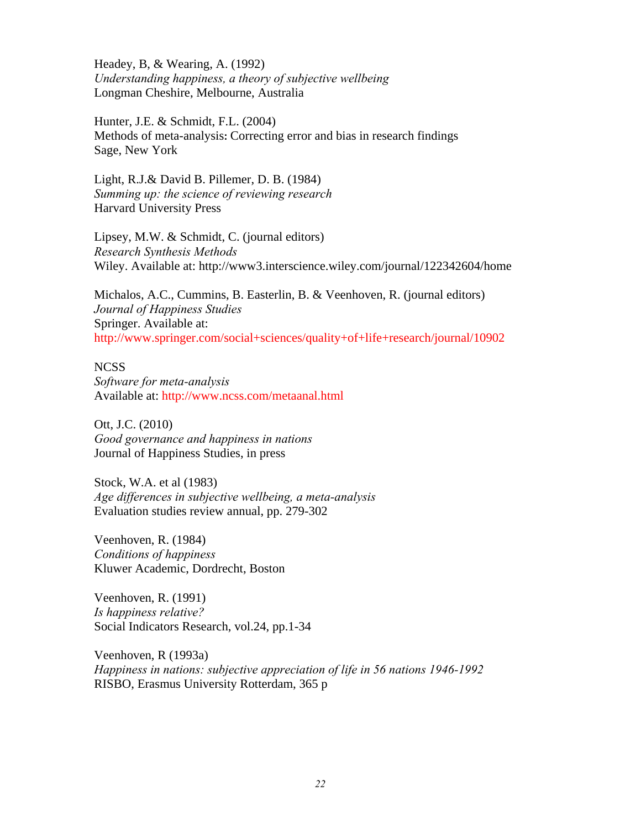Headey, B, & Wearing, A. (1992) *Understanding happiness, a theory of subjective wellbeing* Longman Cheshire, Melbourne, Australia

Hunter, J.E. & Schmidt, F.L. (2004) Methods of meta-analysis**:** Correcting error and bias in research findings Sage, New York

Light, R.J.& David B. Pillemer, D. B. (1984) *Summing up: the science of reviewing research*  Harvard University Press

Lipsey, M.W. & Schmidt, C. (journal editors) *Research Synthesis Methods* Wiley. Available at: http://www3.interscience.wiley.com/journal/122342604/home

Michalos, A.C., Cummins, B. Easterlin, B. & Veenhoven, R. (journal editors) *Journal of Happiness Studies* Springer. Available at: <http://www.springer.com/social+sciences/quality+of+life+research/journal/10902>

NCSS

*Software for meta-analysis* Available at: <http://www.ncss.com/metaanal.html>

Ott, J.C. (2010) *Good governance and happiness in nations* Journal of Happiness Studies, in press

Stock, W.A. et al (1983) *Age differences in subjective wellbeing, a meta-analysis* Evaluation studies review annual, pp. 279-302

Veenhoven, R. (1984) *Conditions of happiness*  Kluwer Academic, Dordrecht, Boston

Veenhoven, R. (1991) *Is happiness relative?*  Social Indicators Research, vol.24, pp.1-34

Veenhoven, R (1993a) *Happiness in nations: subjective appreciation of life in 56 nations 1946-1992*  RISBO, Erasmus University Rotterdam, 365 p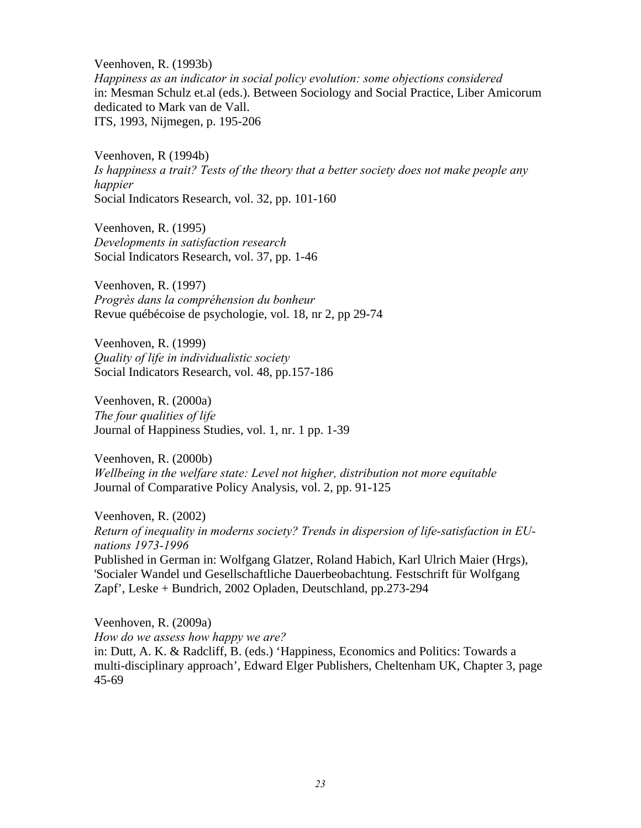Veenhoven, R. (1993b) *Happiness as an indicator in social policy evolution: some objections considered* in: Mesman Schulz et.al (eds.). Between Sociology and Social Practice, Liber Amicorum dedicated to Mark van de Vall. ITS, 1993, Nijmegen, p. 195-206

Veenhoven, R (1994b) *Is happiness a trait? Tests of the theory that a better society does not make people any happier*  Social Indicators Research, vol. 32, pp. 101-160

Veenhoven, R. (1995) *Developments in satisfaction research*  Social Indicators Research, vol. 37, pp. 1-46

Veenhoven, R. (1997) *Progrès dans la compréhension du bonheur*  Revue québécoise de psychologie, vol. 18, nr 2, pp 29-74

Veenhoven, R. (1999) *Quality of life in individualistic society*  Social Indicators Research, vol. 48, pp.157-186

Veenhoven, R. (2000a) *The four qualities of life*  Journal of Happiness Studies, vol. 1, nr. 1 pp. 1-39

Veenhoven, R. (2000b) *Wellbeing in the welfare state: Level not higher, distribution not more equitable*  Journal of Comparative Policy Analysis, vol. 2, pp. 91-125

Veenhoven, R. (2002) *Return of inequality in moderns society? Trends in dispersion of life-satisfaction in EUnations 1973-1996* Published in German in: Wolfgang Glatzer, Roland Habich, Karl Ulrich Maier (Hrgs), 'Socialer Wandel und Gesellschaftliche Dauerbeobachtung. Festschrift für Wolfgang Zapf', Leske + Bundrich, 2002 Opladen, Deutschland, pp.273-294

Veenhoven, R. (2009a) *How do we assess how happy we are?* in: Dutt, A. K. & Radcliff, B. (eds.) 'Happiness, Economics and Politics: Towards a multi-disciplinary approach', Edward Elger Publishers, Cheltenham UK, Chapter 3, page 45-69